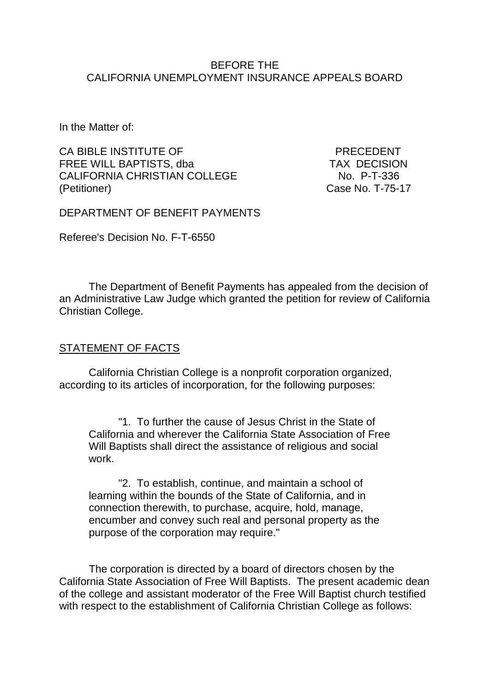## BEFORE THE CALIFORNIA UNEMPLOYMENT INSURANCE APPEALS BOARD

In the Matter of:

CA BIBLE INSTITUTE OF PRECEDENT FREE WILL BAPTISTS, dba TAX DECISION<br>CALIFORNIA CHRISTIAN COLLEGE No. P-T-336 CALIFORNIA CHRISTIAN COLLEGE (Petitioner) Case No. T-75-17

DEPARTMENT OF BENEFIT PAYMENTS

Referee's Decision No. F-T-6550

The Department of Benefit Payments has appealed from the decision of an Administrative Law Judge which granted the petition for review of California Christian College.

## STATEMENT OF FACTS

California Christian College is a nonprofit corporation organized, according to its articles of incorporation, for the following purposes:

"1. To further the cause of Jesus Christ in the State of California and wherever the California State Association of Free Will Baptists shall direct the assistance of religious and social work.

"2. To establish, continue, and maintain a school of learning within the bounds of the State of California, and in connection therewith, to purchase, acquire, hold, manage, encumber and convey such real and personal property as the purpose of the corporation may require."

The corporation is directed by a board of directors chosen by the California State Association of Free Will Baptists. The present academic dean of the college and assistant moderator of the Free Will Baptist church testified with respect to the establishment of California Christian College as follows: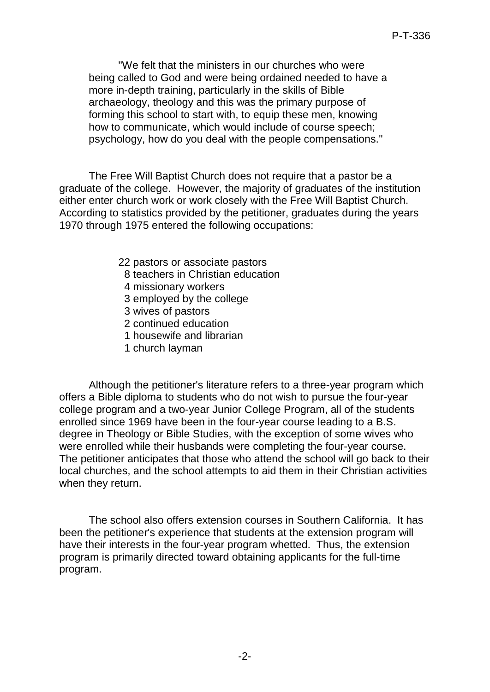"We felt that the ministers in our churches who were being called to God and were being ordained needed to have a more in-depth training, particularly in the skills of Bible archaeology, theology and this was the primary purpose of forming this school to start with, to equip these men, knowing how to communicate, which would include of course speech; psychology, how do you deal with the people compensations."

The Free Will Baptist Church does not require that a pastor be a graduate of the college. However, the majority of graduates of the institution either enter church work or work closely with the Free Will Baptist Church. According to statistics provided by the petitioner, graduates during the years 1970 through 1975 entered the following occupations:

- 22 pastors or associate pastors
- 8 teachers in Christian education
- 4 missionary workers
- 3 employed by the college
- 3 wives of pastors
- 2 continued education
- 1 housewife and librarian
- 1 church layman

Although the petitioner's literature refers to a three-year program which offers a Bible diploma to students who do not wish to pursue the four-year college program and a two-year Junior College Program, all of the students enrolled since 1969 have been in the four-year course leading to a B.S. degree in Theology or Bible Studies, with the exception of some wives who were enrolled while their husbands were completing the four-year course. The petitioner anticipates that those who attend the school will go back to their local churches, and the school attempts to aid them in their Christian activities when they return.

The school also offers extension courses in Southern California. It has been the petitioner's experience that students at the extension program will have their interests in the four-year program whetted. Thus, the extension program is primarily directed toward obtaining applicants for the full-time program.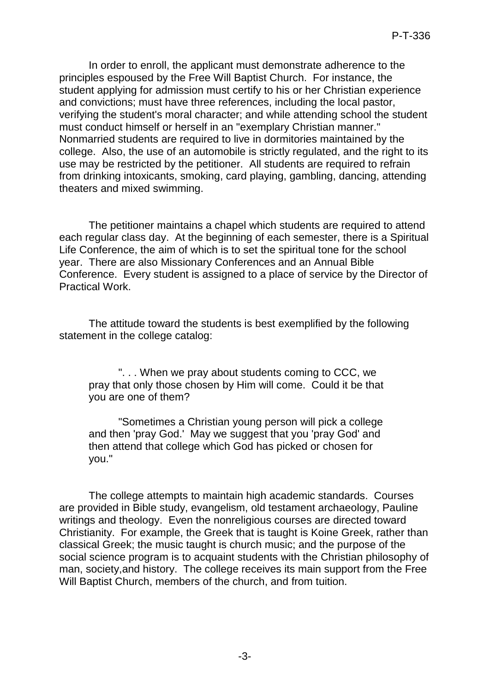In order to enroll, the applicant must demonstrate adherence to the principles espoused by the Free Will Baptist Church. For instance, the student applying for admission must certify to his or her Christian experience and convictions; must have three references, including the local pastor, verifying the student's moral character; and while attending school the student must conduct himself or herself in an "exemplary Christian manner." Nonmarried students are required to live in dormitories maintained by the college. Also, the use of an automobile is strictly regulated, and the right to its use may be restricted by the petitioner. All students are required to refrain from drinking intoxicants, smoking, card playing, gambling, dancing, attending theaters and mixed swimming.

The petitioner maintains a chapel which students are required to attend each regular class day. At the beginning of each semester, there is a Spiritual Life Conference, the aim of which is to set the spiritual tone for the school year. There are also Missionary Conferences and an Annual Bible Conference. Every student is assigned to a place of service by the Director of Practical Work.

The attitude toward the students is best exemplified by the following statement in the college catalog:

". . . When we pray about students coming to CCC, we pray that only those chosen by Him will come. Could it be that you are one of them?

"Sometimes a Christian young person will pick a college and then 'pray God.' May we suggest that you 'pray God' and then attend that college which God has picked or chosen for you."

The college attempts to maintain high academic standards. Courses are provided in Bible study, evangelism, old testament archaeology, Pauline writings and theology. Even the nonreligious courses are directed toward Christianity. For example, the Greek that is taught is Koine Greek, rather than classical Greek; the music taught is church music; and the purpose of the social science program is to acquaint students with the Christian philosophy of man, society,and history. The college receives its main support from the Free Will Baptist Church, members of the church, and from tuition.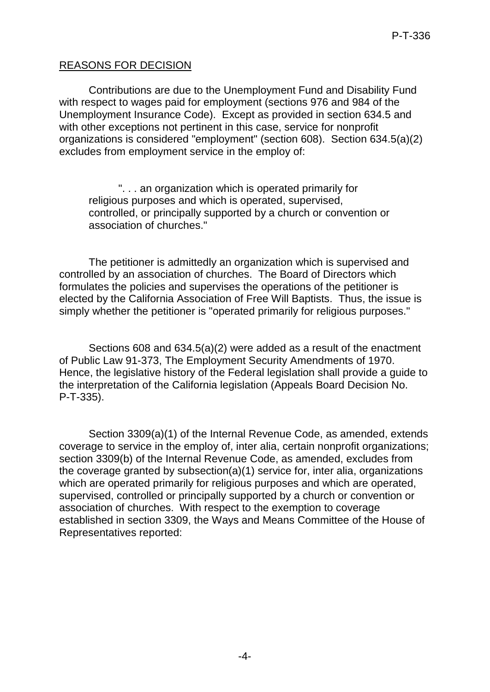## REASONS FOR DECISION

Contributions are due to the Unemployment Fund and Disability Fund with respect to wages paid for employment (sections 976 and 984 of the Unemployment Insurance Code). Except as provided in section 634.5 and with other exceptions not pertinent in this case, service for nonprofit organizations is considered "employment" (section 608). Section 634.5(a)(2) excludes from employment service in the employ of:

". . . an organization which is operated primarily for religious purposes and which is operated, supervised, controlled, or principally supported by a church or convention or association of churches."

The petitioner is admittedly an organization which is supervised and controlled by an association of churches. The Board of Directors which formulates the policies and supervises the operations of the petitioner is elected by the California Association of Free Will Baptists. Thus, the issue is simply whether the petitioner is "operated primarily for religious purposes."

Sections 608 and 634.5(a)(2) were added as a result of the enactment of Public Law 91-373, The Employment Security Amendments of 1970. Hence, the legislative history of the Federal legislation shall provide a guide to the interpretation of the California legislation (Appeals Board Decision No. P-T-335).

Section 3309(a)(1) of the Internal Revenue Code, as amended, extends coverage to service in the employ of, inter alia, certain nonprofit organizations; section 3309(b) of the Internal Revenue Code, as amended, excludes from the coverage granted by subsection(a)(1) service for, inter alia, organizations which are operated primarily for religious purposes and which are operated, supervised, controlled or principally supported by a church or convention or association of churches. With respect to the exemption to coverage established in section 3309, the Ways and Means Committee of the House of Representatives reported: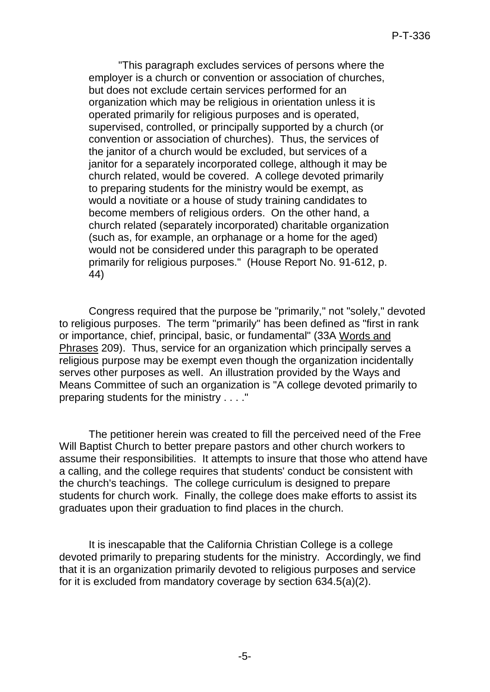"This paragraph excludes services of persons where the employer is a church or convention or association of churches, but does not exclude certain services performed for an organization which may be religious in orientation unless it is operated primarily for religious purposes and is operated, supervised, controlled, or principally supported by a church (or convention or association of churches). Thus, the services of the janitor of a church would be excluded, but services of a janitor for a separately incorporated college, although it may be church related, would be covered. A college devoted primarily to preparing students for the ministry would be exempt, as would a novitiate or a house of study training candidates to become members of religious orders. On the other hand, a church related (separately incorporated) charitable organization (such as, for example, an orphanage or a home for the aged) would not be considered under this paragraph to be operated primarily for religious purposes." (House Report No. 91-612, p. 44)

Congress required that the purpose be "primarily," not "solely," devoted to religious purposes. The term "primarily" has been defined as "first in rank or importance, chief, principal, basic, or fundamental" (33A Words and Phrases 209). Thus, service for an organization which principally serves a religious purpose may be exempt even though the organization incidentally serves other purposes as well. An illustration provided by the Ways and Means Committee of such an organization is "A college devoted primarily to preparing students for the ministry . . . ."

The petitioner herein was created to fill the perceived need of the Free Will Baptist Church to better prepare pastors and other church workers to assume their responsibilities. It attempts to insure that those who attend have a calling, and the college requires that students' conduct be consistent with the church's teachings. The college curriculum is designed to prepare students for church work. Finally, the college does make efforts to assist its graduates upon their graduation to find places in the church.

It is inescapable that the California Christian College is a college devoted primarily to preparing students for the ministry. Accordingly, we find that it is an organization primarily devoted to religious purposes and service for it is excluded from mandatory coverage by section 634.5(a)(2).